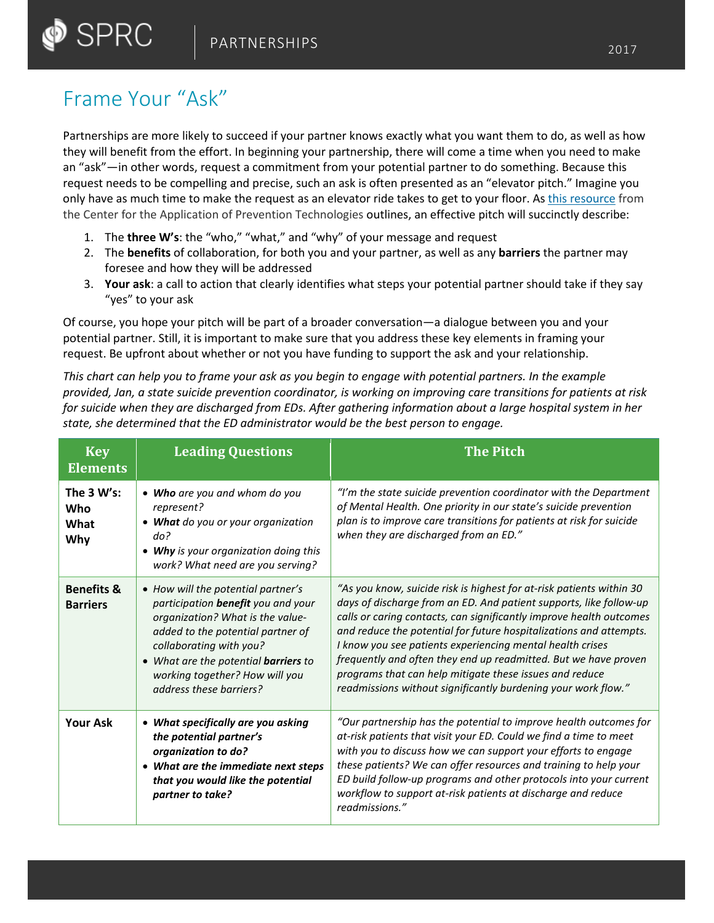## Frame Your "Ask"

 $\bullet$  SPRC

Partnerships are more likely to succeed if your partner knows exactly what you want them to do, as well as how they will benefit from the effort. In beginning your partnership, there will come a time when you need to make an "ask"—in other words, request a commitment from your potential partner to do something. Because this request needs to be compelling and precise, such an ask is often presented as an "elevator pitch." Imagine you only have as much time to make the request as an elevator ride takes to get to your floor. As [this resource](https://captcollaboration.edc.org/sites/captcollaboration.edc.org/files/attachments/You%20Gotta%20Hear%20This%21%20Developing%20an%20Effective%20Elevator%20Pitch.pdf) from the Center for the Application of Prevention Technologies outlines, an effective pitch will succinctly describe:

- 1. The **three W's**: the "who," "what," and "why" of your message and request
- 2. The **benefits** of collaboration, for both you and your partner, as well as any **barriers** the partner may foresee and how they will be addressed
- 3. **Your ask**: a call to action that clearly identifies what steps your potential partner should take if they say "yes" to your ask

Of course, you hope your pitch will be part of a broader conversation—a dialogue between you and your potential partner. Still, it is important to make sure that you address these key elements in framing your request. Be upfront about whether or not you have funding to support the ask and your relationship.

*This chart can help you to frame your ask as you begin to engage with potential partners. In the example provided, Jan, a state suicide prevention coordinator, is working on improving care transitions for patients at risk for suicide when they are discharged from EDs. After gathering information about a large hospital system in her state, she determined that the ED administrator would be the best person to engage.*

| <b>Key</b><br><b>Elements</b>            | <b>Leading Questions</b>                                                                                                                                                                                                                                                                 | <b>The Pitch</b>                                                                                                                                                                                                                                                                                                                                                                                                                                                                                                                                    |
|------------------------------------------|------------------------------------------------------------------------------------------------------------------------------------------------------------------------------------------------------------------------------------------------------------------------------------------|-----------------------------------------------------------------------------------------------------------------------------------------------------------------------------------------------------------------------------------------------------------------------------------------------------------------------------------------------------------------------------------------------------------------------------------------------------------------------------------------------------------------------------------------------------|
| The 3 W's:<br>Who<br>What<br>Why         | • Who are you and whom do you<br>represent?<br>• What do you or your organization<br>do?<br>• Why is your organization doing this<br>work? What need are you serving?                                                                                                                    | "I'm the state suicide prevention coordinator with the Department<br>of Mental Health. One priority in our state's suicide prevention<br>plan is to improve care transitions for patients at risk for suicide<br>when they are discharged from an ED."                                                                                                                                                                                                                                                                                              |
| <b>Benefits &amp;</b><br><b>Barriers</b> | • How will the potential partner's<br>participation benefit you and your<br>organization? What is the value-<br>added to the potential partner of<br>collaborating with you?<br>• What are the potential <b>barriers</b> to<br>working together? How will you<br>address these barriers? | "As you know, suicide risk is highest for at-risk patients within 30<br>days of discharge from an ED. And patient supports, like follow-up<br>calls or caring contacts, can significantly improve health outcomes<br>and reduce the potential for future hospitalizations and attempts.<br>I know you see patients experiencing mental health crises<br>frequently and often they end up readmitted. But we have proven<br>programs that can help mitigate these issues and reduce<br>readmissions without significantly burdening your work flow." |
| <b>Your Ask</b>                          | • What specifically are you asking<br>the potential partner's<br>organization to do?<br>• What are the immediate next steps<br>that you would like the potential<br>partner to take?                                                                                                     | "Our partnership has the potential to improve health outcomes for<br>at-risk patients that visit your ED. Could we find a time to meet<br>with you to discuss how we can support your efforts to engage<br>these patients? We can offer resources and training to help your<br>ED build follow-up programs and other protocols into your current<br>workflow to support at-risk patients at discharge and reduce<br>readmissions."                                                                                                                  |